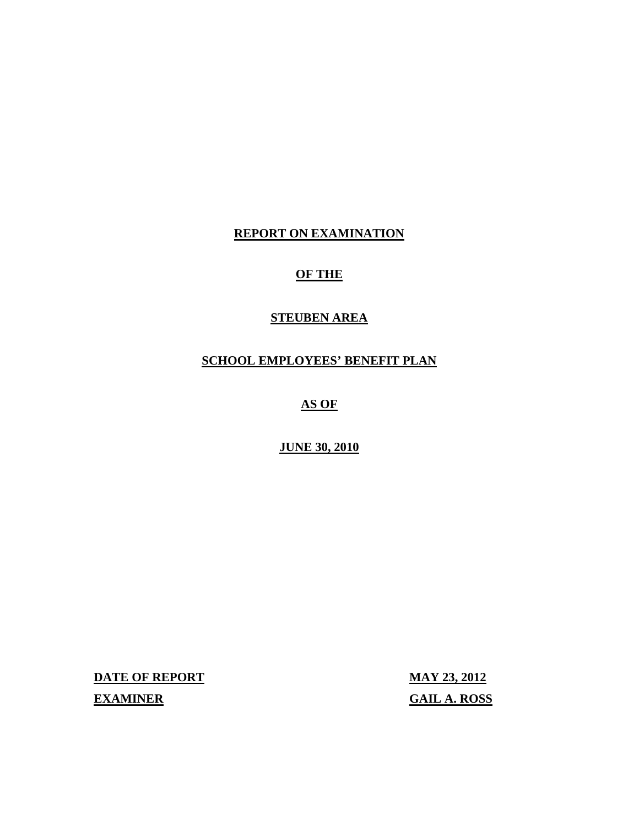**REPORT ON EXAMINATION** 

## **OF THE**

## **STEUBEN AREA**

### **SCHOOL EMPLOYEES' BENEFIT PLAN**

**AS OF** 

**JUNE 30, 2010** 

**DATE OF REPORT MAY 23, 2012** 

**EXAMINER GAIL A. ROSS**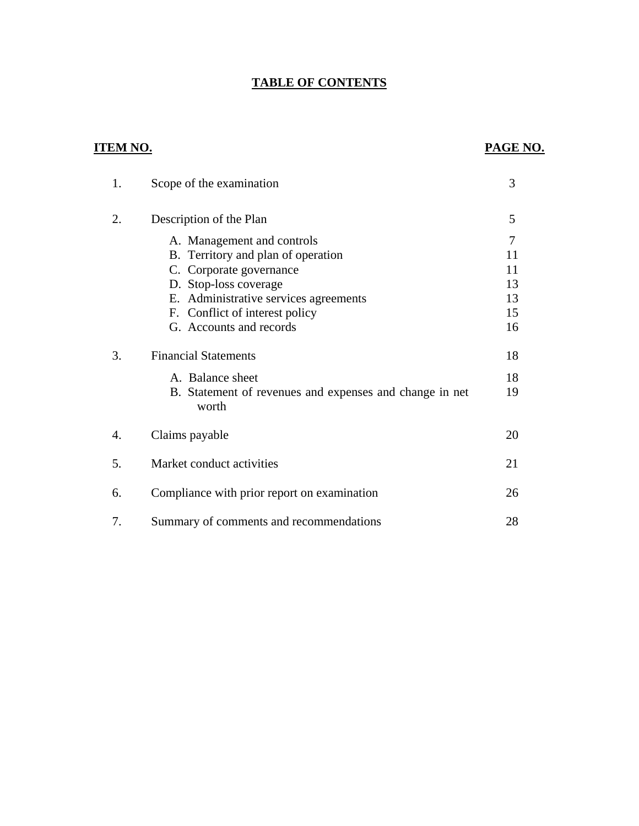## **TABLE OF CONTENTS**

### **ITEM NO. PAGE NO.**

| 1. | Scope of the examination                                         | 3  |
|----|------------------------------------------------------------------|----|
| 2. | Description of the Plan                                          | 5  |
|    | A. Management and controls                                       | 7  |
|    | B. Territory and plan of operation                               | 11 |
|    | C. Corporate governance                                          | 11 |
|    | D. Stop-loss coverage                                            | 13 |
|    | E. Administrative services agreements                            | 13 |
|    | F. Conflict of interest policy                                   | 15 |
|    | G. Accounts and records                                          | 16 |
| 3. | <b>Financial Statements</b>                                      | 18 |
|    | A. Balance sheet                                                 | 18 |
|    | B. Statement of revenues and expenses and change in net<br>worth | 19 |
| 4. | Claims payable                                                   | 20 |
| 5. | Market conduct activities                                        | 21 |
| 6. | Compliance with prior report on examination                      | 26 |
| 7. | Summary of comments and recommendations                          | 28 |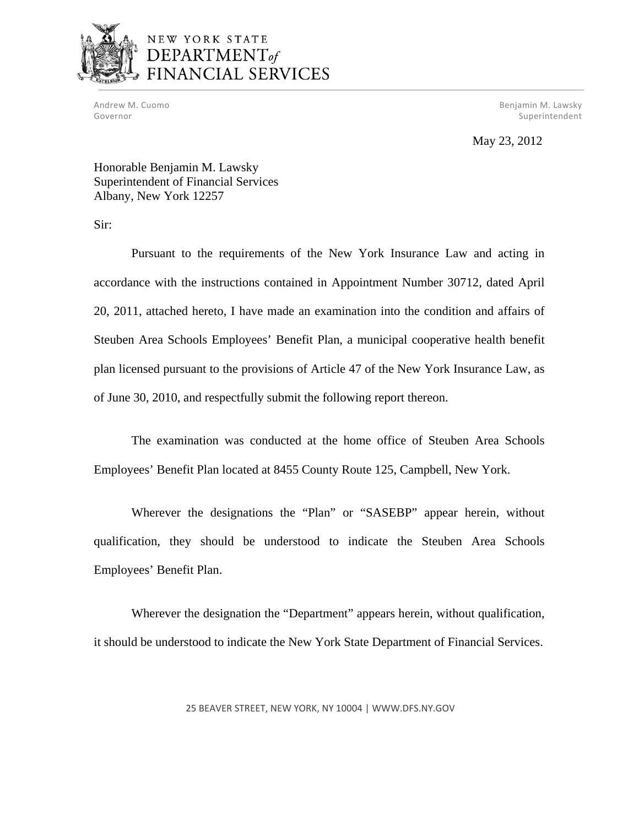

## NEW YORK STATE DEPARTMENT<sub>of</sub> FINANCIAL SERVICES

 Andrew M. Cuomo Benjamin M. Lawsky Governor Superintendent Superintendent Superintendent Superintendent Superintendent Superintendent Superintendent

May 23, 2012

Honorable Benjamin M. Lawsky Superintendent of Financial Services Albany, New York 12257

Sir:

Pursuant to the requirements of the New York Insurance Law and acting in accordance with the instructions contained in Appointment Number 30712, dated April 20, 2011, attached hereto, I have made an examination into the condition and affairs of Steuben Area Schools Employees' Benefit Plan, a municipal cooperative health benefit plan licensed pursuant to the provisions of Article 47 of the New York Insurance Law, as of June 30, 2010, and respectfully submit the following report thereon.

The examination was conducted at the home office of Steuben Area Schools Employees' Benefit Plan located at 8455 County Route 125, Campbell, New York.

Wherever the designations the "Plan" or "SASEBP" appear herein, without qualification, they should be understood to indicate the Steuben Area Schools Employees' Benefit Plan.

Wherever the designation the "Department" appears herein, without qualification, it should be understood to indicate the New York State Department of Financial Services.

25 BEAVER STREET, NEW YORK, NY 10004 | <WWW.DFS.NY.GOV>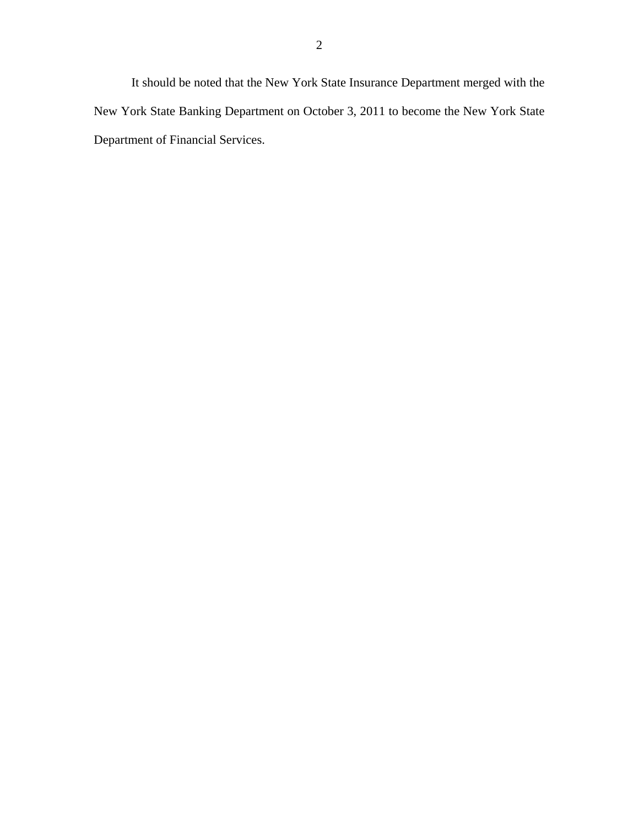It should be noted that the New York State Insurance Department merged with the New York State Banking Department on October 3, 2011 to become the New York State Department of Financial Services.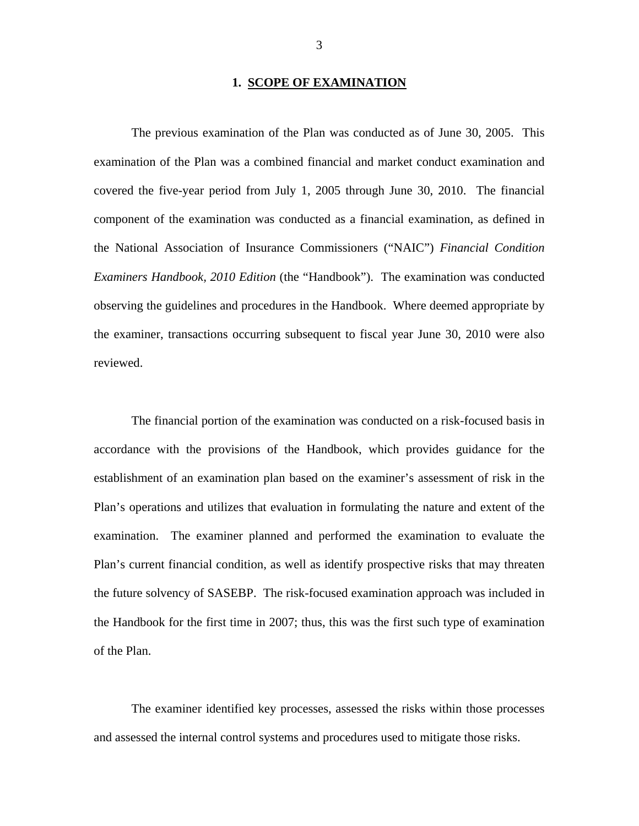#### **1. SCOPE OF EXAMINATION**

The previous examination of the Plan was conducted as of June 30, 2005. This examination of the Plan was a combined financial and market conduct examination and covered the five-year period from July 1, 2005 through June 30, 2010. The financial component of the examination was conducted as a financial examination, as defined in the National Association of Insurance Commissioners ("NAIC") *Financial Condition Examiners Handbook, 2010 Edition* (the "Handbook"). The examination was conducted observing the guidelines and procedures in the Handbook. Where deemed appropriate by the examiner, transactions occurring subsequent to fiscal year June 30, 2010 were also reviewed.

The financial portion of the examination was conducted on a risk-focused basis in accordance with the provisions of the Handbook, which provides guidance for the establishment of an examination plan based on the examiner's assessment of risk in the Plan's operations and utilizes that evaluation in formulating the nature and extent of the examination. The examiner planned and performed the examination to evaluate the Plan's current financial condition, as well as identify prospective risks that may threaten the future solvency of SASEBP. The risk-focused examination approach was included in the Handbook for the first time in 2007; thus, this was the first such type of examination of the Plan.

The examiner identified key processes, assessed the risks within those processes and assessed the internal control systems and procedures used to mitigate those risks.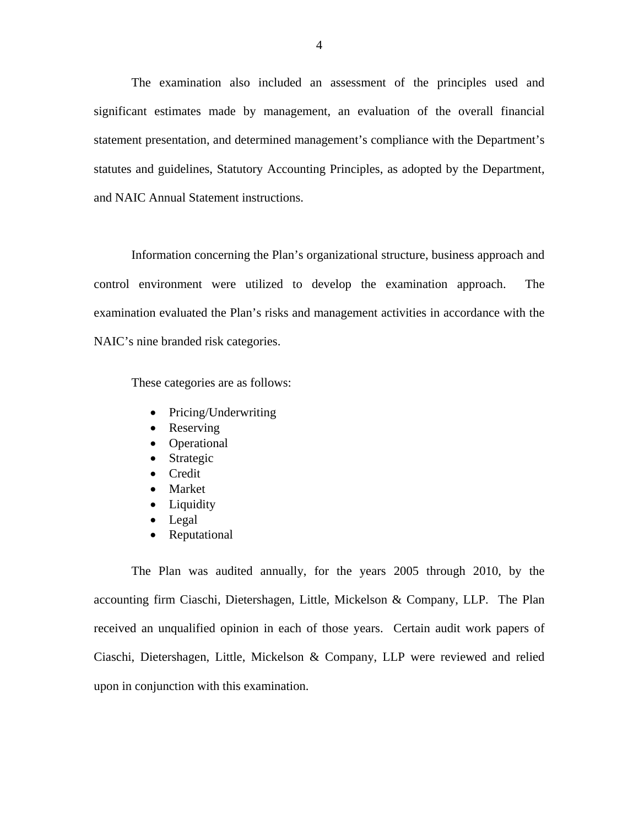The examination also included an assessment of the principles used and significant estimates made by management, an evaluation of the overall financial statement presentation, and determined management's compliance with the Department's statutes and guidelines, Statutory Accounting Principles, as adopted by the Department, and NAIC Annual Statement instructions.

Information concerning the Plan's organizational structure, business approach and control environment were utilized to develop the examination approach. The examination evaluated the Plan's risks and management activities in accordance with the NAIC's nine branded risk categories.

These categories are as follows:

- Pricing/Underwriting
- Reserving
- Operational
- Strategic
- Credit
- Market
- Liquidity
- Legal
- Reputational

The Plan was audited annually, for the years 2005 through 2010, by the accounting firm Ciaschi, Dietershagen, Little, Mickelson & Company, LLP. The Plan received an unqualified opinion in each of those years. Certain audit work papers of Ciaschi, Dietershagen, Little, Mickelson & Company, LLP were reviewed and relied upon in conjunction with this examination.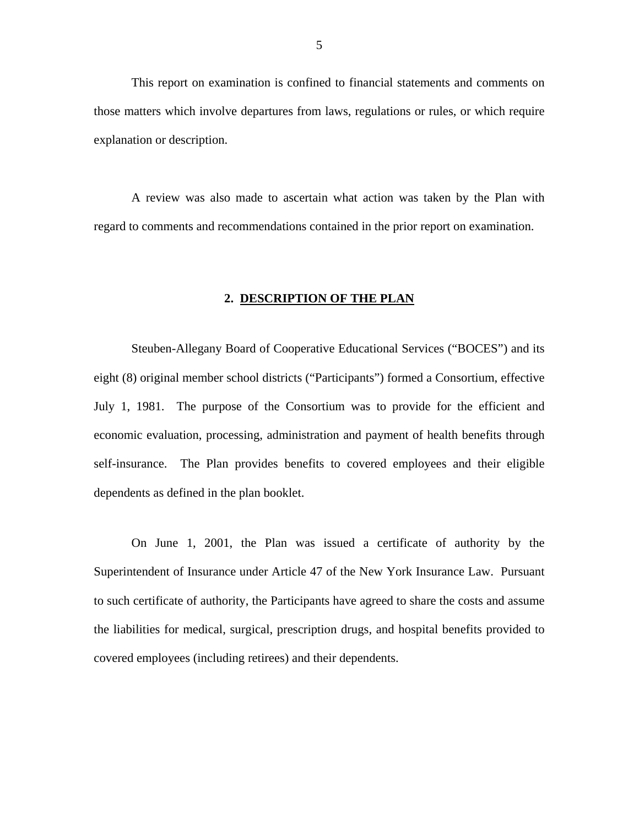<span id="page-6-0"></span>This report on examination is confined to financial statements and comments on those matters which involve departures from laws, regulations or rules, or which require explanation or description.

 regard to comments and recommendations contained in the prior report on examination. A review was also made to ascertain what action was taken by the Plan with

#### **2. DESCRIPTION OF THE PLAN**

Steuben-Allegany Board of Cooperative Educational Services ("BOCES") and its eight (8) original member school districts ("Participants") formed a Consortium, effective July 1, 1981. The purpose of the Consortium was to provide for the efficient and economic evaluation, processing, administration and payment of health benefits through self-insurance. The Plan provides benefits to covered employees and their eligible dependents as defined in the plan booklet.

On June 1, 2001, the Plan was issued a certificate of authority by the Superintendent of Insurance under Article 47 of the New York Insurance Law. Pursuant to such certificate of authority, the Participants have agreed to share the costs and assume the liabilities for medical, surgical, prescription drugs, and hospital benefits provided to covered employees (including retirees) and their dependents.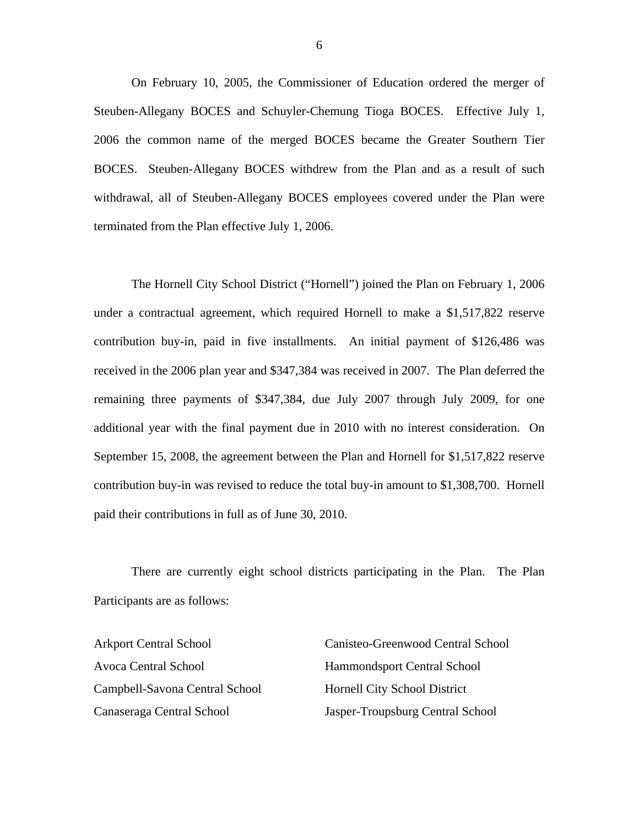On February 10, 2005, the Commissioner of Education ordered the merger of Steuben-Allegany BOCES and Schuyler-Chemung Tioga BOCES. Effective July 1, 2006 the common name of the merged BOCES became the Greater Southern Tier BOCES. Steuben-Allegany BOCES withdrew from the Plan and as a result of such withdrawal, all of Steuben-Allegany BOCES employees covered under the Plan were terminated from the Plan effective July 1, 2006.

The Hornell City School District ("Hornell") joined the Plan on February 1, 2006 under a contractual agreement, which required Hornell to make a \$1,517,822 reserve contribution buy-in, paid in five installments. An initial payment of \$126,486 was received in the 2006 plan year and \$347,384 was received in 2007. The Plan deferred the remaining three payments of \$347,384, due July 2007 through July 2009, for one additional year with the final payment due in 2010 with no interest consideration. On September 15, 2008, the agreement between the Plan and Hornell for \$1,517,822 reserve contribution buy-in was revised to reduce the total buy-in amount to \$1,308,700. Hornell paid their contributions in full as of June 30, 2010.

There are currently eight school districts participating in the Plan. The Plan Participants are as follows:

Avoca Central School Hammondsport Central School Campbell-Savona Central School Hornell City School District

Arkport Central School Canisteo-Greenwood Central School Canaseraga Central School Jasper-Troupsburg Central School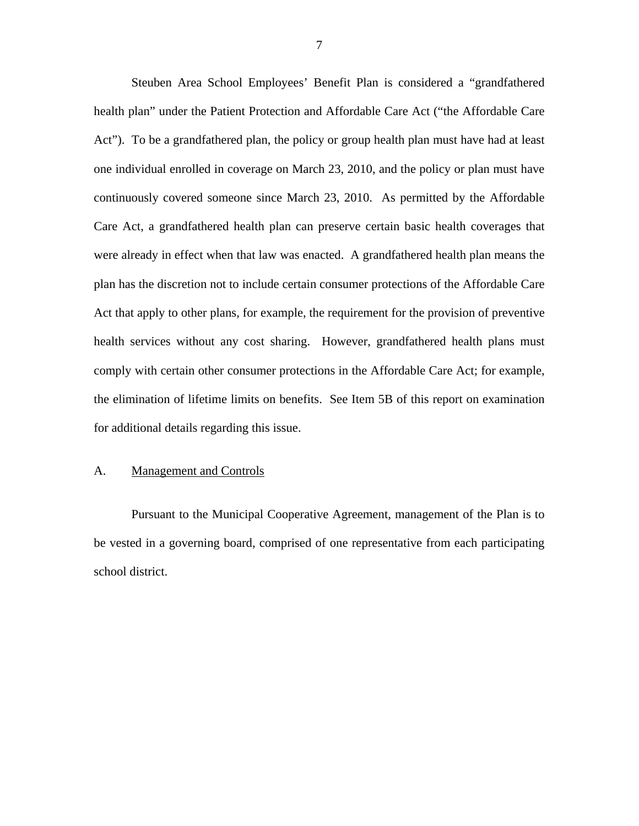<span id="page-8-0"></span>Steuben Area School Employees' Benefit Plan is considered a "grandfathered health plan" under the Patient Protection and Affordable Care Act ("the Affordable Care Act"). To be a grandfathered plan, the policy or group health plan must have had at least one individual enrolled in coverage on March 23, 2010, and the policy or plan must have continuously covered someone since March 23, 2010. As permitted by the Affordable Care Act, a grandfathered health plan can preserve certain basic health coverages that were already in effect when that law was enacted. A grandfathered health plan means the plan has the discretion not to include certain consumer protections of the Affordable Care Act that apply to other plans, for example, the requirement for the provision of preventive health services without any cost sharing. However, grandfathered health plans must comply with certain other consumer protections in the Affordable Care Act; for example, the elimination of lifetime limits on benefits. See Item 5B of this report on examination for additional details regarding this issue.

#### A. Management and Controls

Pursuant to the Municipal Cooperative Agreement, management of the Plan is to be vested in a governing board, comprised of one representative from each participating school district.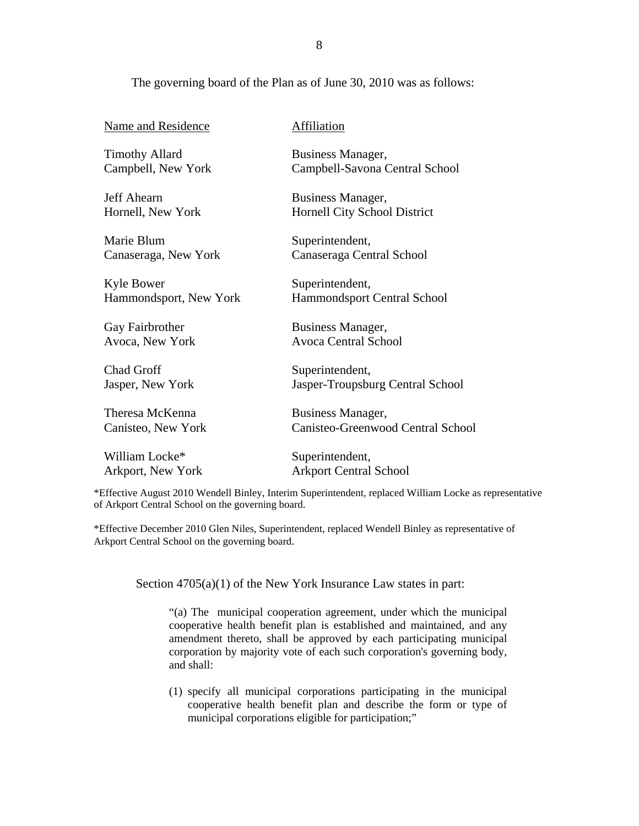#### The governing board of the Plan as of June 30, 2010 was as follows:

| <b>Name and Residence</b> | Affiliation                         |
|---------------------------|-------------------------------------|
| <b>Timothy Allard</b>     | Business Manager,                   |
| Campbell, New York        | Campbell-Savona Central School      |
| Jeff Ahearn               | Business Manager,                   |
| Hornell, New York         | <b>Hornell City School District</b> |
| Marie Blum                | Superintendent,                     |
| Canaseraga, New York      | Canaseraga Central School           |
| Kyle Bower                | Superintendent,                     |
| Hammondsport, New York    | Hammondsport Central School         |
| Gay Fairbrother           | Business Manager,                   |
| Avoca, New York           | <b>Avoca Central School</b>         |
| <b>Chad Groff</b>         | Superintendent,                     |
| Jasper, New York          | Jasper-Troupsburg Central School    |
| Theresa McKenna           | Business Manager,                   |
| Canisteo, New York        | Canisteo-Greenwood Central School   |
| William Locke*            | Superintendent,                     |
| Arkport, New York         | <b>Arkport Central School</b>       |

\*Effective August 2010 Wendell Binley, Interim Superintendent, replaced William Locke as representative of Arkport Central School on the governing board.

\*Effective December 2010 Glen Niles, Superintendent, replaced Wendell Binley as representative of Arkport Central School on the governing board.

Section  $4705(a)(1)$  of the New York Insurance Law states in part:

"(a) The municipal cooperation agreement, under which the municipal cooperative health benefit plan is established and maintained, and any amendment thereto, shall be approved by each participating municipal corporation by majority vote of each such corporation's governing body, and shall:

(1) specify all municipal corporations participating in the municipal cooperative health benefit plan and describe the form or type of municipal corporations eligible for participation;"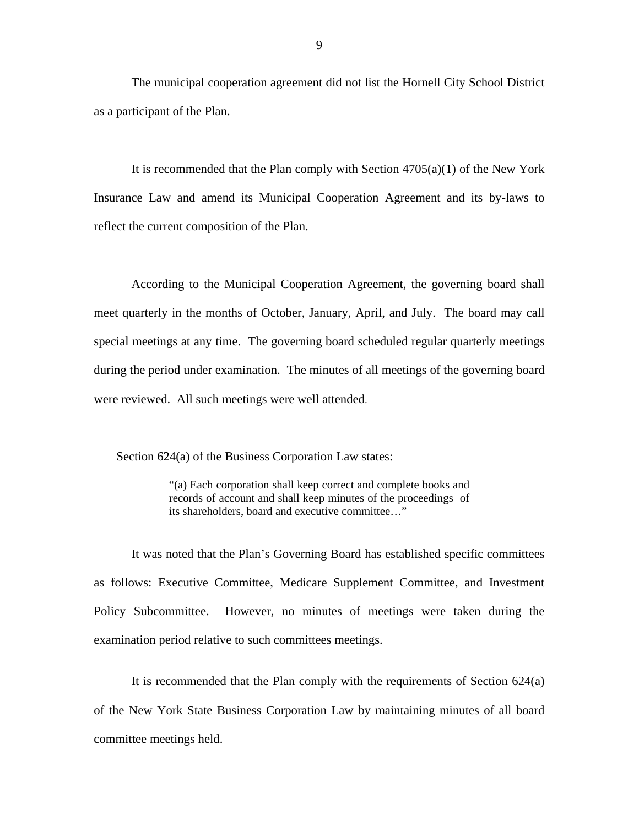The municipal cooperation agreement did not list the Hornell City School District as a participant of the Plan.

It is recommended that the Plan comply with Section  $4705(a)(1)$  of the New York Insurance Law and amend its Municipal Cooperation Agreement and its by-laws to reflect the current composition of the Plan.

According to the Municipal Cooperation Agreement, the governing board shall meet quarterly in the months of October, January, April, and July. The board may call special meetings at any time. The governing board scheduled regular quarterly meetings during the period under examination. The minutes of all meetings of the governing board were reviewed. All such meetings were well attended.

Section 624(a) of the Business Corporation Law states:

"(a) Each corporation shall keep correct and complete books and records of account and shall keep minutes of the proceedings of its shareholders, board and executive committee..."

It was noted that the Plan's Governing Board has established specific committees as follows: Executive Committee, Medicare Supplement Committee, and Investment Policy Subcommittee. However, no minutes of meetings were taken during the examination period relative to such committees meetings.

It is recommended that the Plan comply with the requirements of Section 624(a) of the New York State Business Corporation Law by maintaining minutes of all board committee meetings held.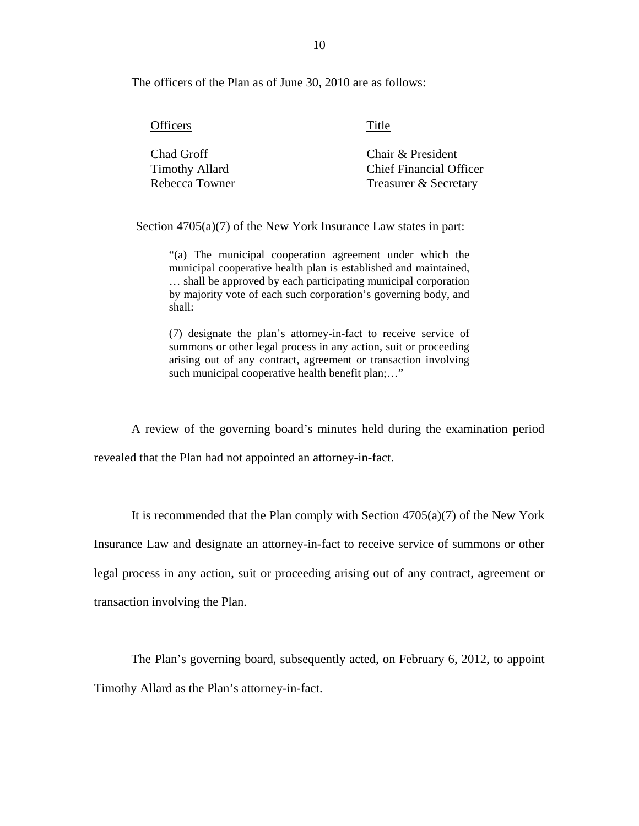The officers of the Plan as of June 30, 2010 are as follows:

| <b>Officers</b>                     | Title                                               |
|-------------------------------------|-----------------------------------------------------|
| Chad Groff<br><b>Timothy Allard</b> | Chair & President<br><b>Chief Financial Officer</b> |
| Rebecca Towner                      | Treasurer & Secretary                               |

Section 4705(a)(7) of the New York Insurance Law states in part:

"(a) The municipal cooperation agreement under which the municipal cooperative health plan is established and maintained, … shall be approved by each participating municipal corporation by majority vote of each such corporation's governing body, and shall:

(7) designate the plan's attorney-in-fact to receive service of summons or other legal process in any action, suit or proceeding arising out of any contract, agreement or transaction involving such municipal cooperative health benefit plan;..."

A review of the governing board's minutes held during the examination period revealed that the Plan had not appointed an attorney-in-fact.

It is recommended that the Plan comply with Section  $4705(a)(7)$  of the New York Insurance Law and designate an attorney-in-fact to receive service of summons or other legal process in any action, suit or proceeding arising out of any contract, agreement or transaction involving the Plan.

The Plan's governing board, subsequently acted, on February 6, 2012, to appoint Timothy Allard as the Plan's attorney-in-fact.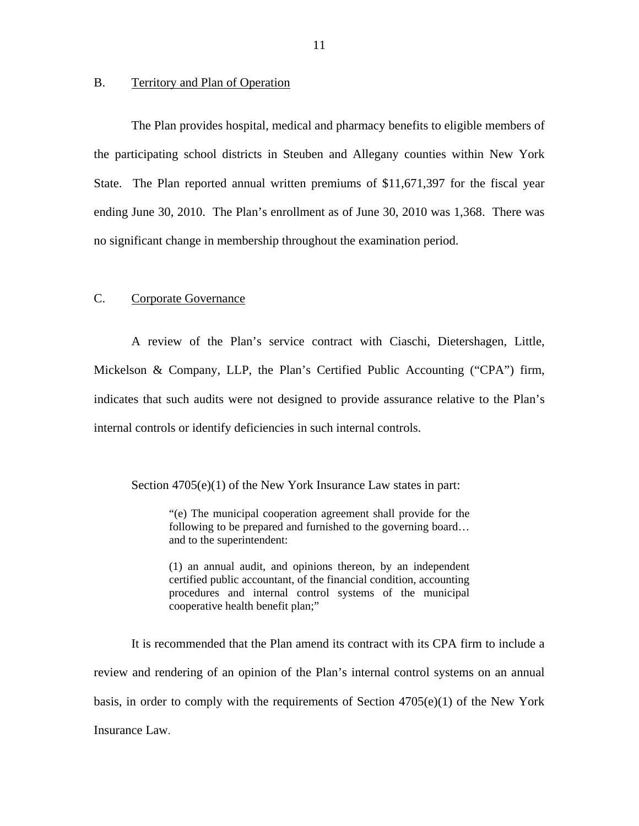#### <span id="page-12-0"></span>B. Territory and Plan of Operation

The Plan provides hospital, medical and pharmacy benefits to eligible members of the participating school districts in Steuben and Allegany counties within New York State. The Plan reported annual written premiums of \$11,671,397 for the fiscal year ending June 30, 2010. The Plan's enrollment as of June 30, 2010 was 1,368. There was no significant change in membership throughout the examination period.

#### C. Corporate Governance

A review of the Plan's service contract with Ciaschi, Dietershagen, Little, Mickelson & Company, LLP, the Plan's Certified Public Accounting ("CPA") firm, indicates that such audits were not designed to provide assurance relative to the Plan's internal controls or identify deficiencies in such internal controls.

Section 4705(e)(1) of the New York Insurance Law states in part:

"(e) The municipal cooperation agreement shall provide for the following to be prepared and furnished to the governing board... and to the superintendent:

(1) an annual audit, and opinions thereon, by an independent certified public accountant, of the financial condition, accounting procedures and internal control systems of the municipal cooperative health benefit plan;"

It is recommended that the Plan amend its contract with its CPA firm to include a review and rendering of an opinion of the Plan's internal control systems on an annual basis, in order to comply with the requirements of Section  $4705(e)(1)$  of the New York Insurance Law.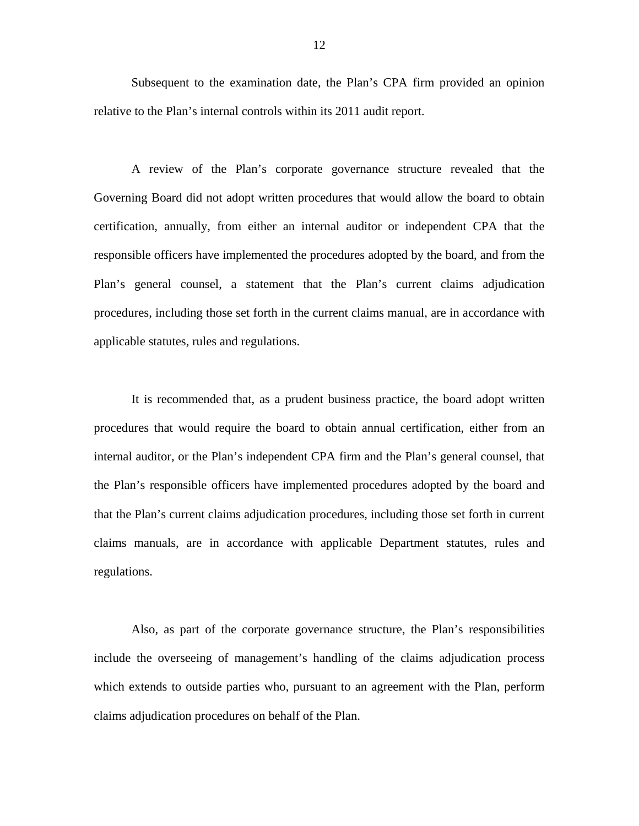Subsequent to the examination date, the Plan's CPA firm provided an opinion relative to the Plan's internal controls within its 2011 audit report.

A review of the Plan's corporate governance structure revealed that the Governing Board did not adopt written procedures that would allow the board to obtain certification, annually, from either an internal auditor or independent CPA that the responsible officers have implemented the procedures adopted by the board, and from the Plan's general counsel, a statement that the Plan's current claims adjudication procedures, including those set forth in the current claims manual, are in accordance with applicable statutes, rules and regulations.

It is recommended that, as a prudent business practice, the board adopt written procedures that would require the board to obtain annual certification, either from an internal auditor, or the Plan's independent CPA firm and the Plan's general counsel, that the Plan's responsible officers have implemented procedures adopted by the board and that the Plan's current claims adjudication procedures, including those set forth in current claims manuals, are in accordance with applicable Department statutes, rules and regulations.

Also, as part of the corporate governance structure, the Plan's responsibilities include the overseeing of management's handling of the claims adjudication process which extends to outside parties who, pursuant to an agreement with the Plan, perform claims adjudication procedures on behalf of the Plan.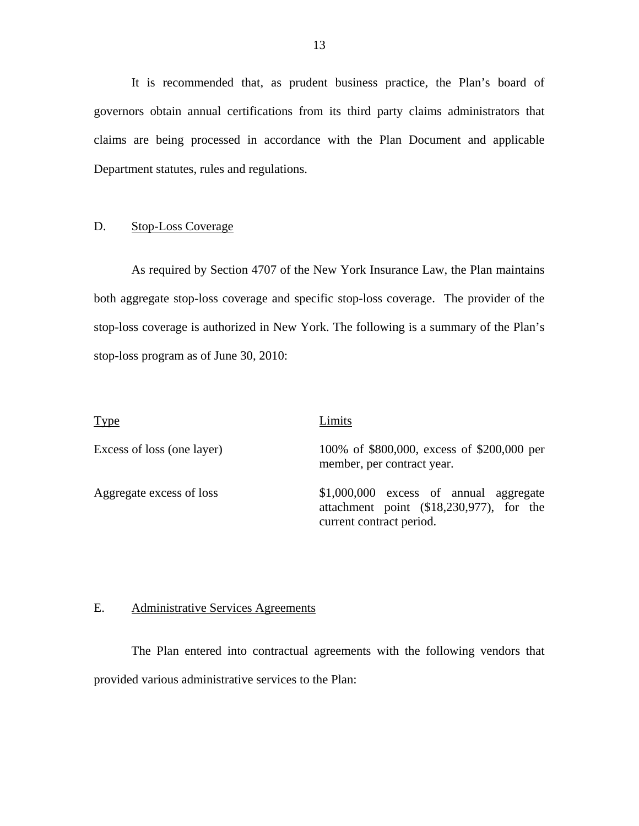It is recommended that, as prudent business practice, the Plan's board of governors obtain annual certifications from its third party claims administrators that claims are being processed in accordance with the Plan Document and applicable Department statutes, rules and regulations.

#### D. Stop-Loss Coverage

As required by Section 4707 of the New York Insurance Law, the Plan maintains both aggregate stop-loss coverage and specific stop-loss coverage. The provider of the stop-loss coverage is authorized in New York. The following is a summary of the Plan's stop-loss program as of June 30, 2010:

| Type                       | Limits                                                                                                          |
|----------------------------|-----------------------------------------------------------------------------------------------------------------|
| Excess of loss (one layer) | 100% of \$800,000, excess of \$200,000 per<br>member, per contract year.                                        |
| Aggregate excess of loss   | $$1,000,000$ excess of annual aggregate<br>attachment point (\$18,230,977), for the<br>current contract period. |

#### E. Administrative Services Agreements

The Plan entered into contractual agreements with the following vendors that provided various administrative services to the Plan: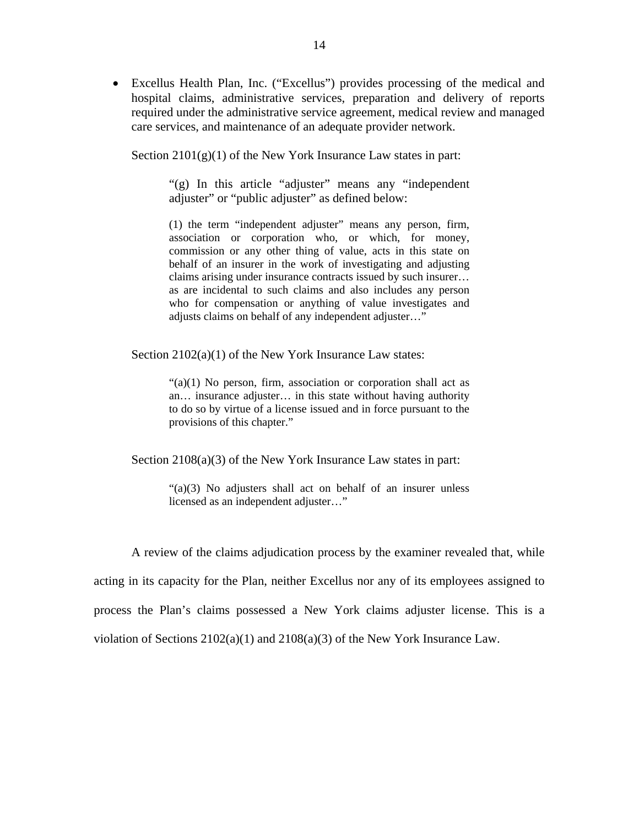Excellus Health Plan, Inc. ("Excellus") provides processing of the medical and hospital claims, administrative services, preparation and delivery of reports required under the administrative service agreement, medical review and managed care services, and maintenance of an adequate provider network.

Section  $2101(g)(1)$  of the New York Insurance Law states in part:

"(g) In this article "adjuster" means any "independent" adjuster" or "public adjuster" as defined below:

(1) the term "independent adjuster" means any person, firm, association or corporation who, or which, for money, commission or any other thing of value, acts in this state on behalf of an insurer in the work of investigating and adjusting claims arising under insurance contracts issued by such insurer… as are incidental to such claims and also includes any person who for compensation or anything of value investigates and adjusts claims on behalf of any independent adjuster…"

Section 2102(a)(1) of the New York Insurance Law states:

 $\cdot$  (a)(1) No person, firm, association or corporation shall act as an… insurance adjuster… in this state without having authority to do so by virtue of a license issued and in force pursuant to the provisions of this chapter."

Section 2108(a)(3) of the New York Insurance Law states in part:

"(a)(3) No adjusters shall act on behalf of an insurer unless licensed as an independent adjuster…"

A review of the claims adjudication process by the examiner revealed that, while acting in its capacity for the Plan, neither Excellus nor any of its employees assigned to process the Plan's claims possessed a New York claims adjuster license. This is a violation of Sections  $2102(a)(1)$  and  $2108(a)(3)$  of the New York Insurance Law.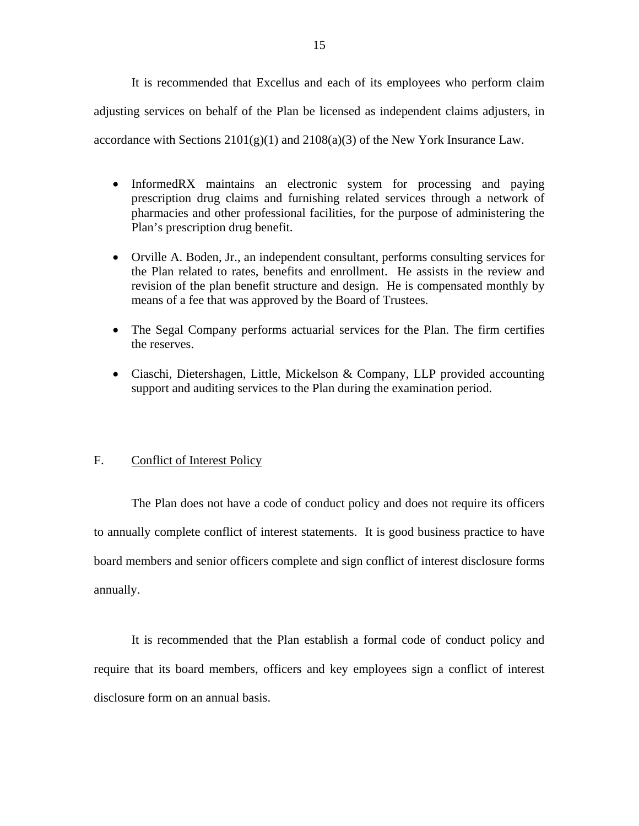<span id="page-16-0"></span>It is recommended that Excellus and each of its employees who perform claim adjusting services on behalf of the Plan be licensed as independent claims adjusters, in accordance with Sections  $2101(g)(1)$  and  $2108(a)(3)$  of the New York Insurance Law.

- InformedRX maintains an electronic system for processing and paying prescription drug claims and furnishing related services through a network of pharmacies and other professional facilities, for the purpose of administering the Plan's prescription drug benefit.
- Orville A. Boden, Jr., an independent consultant, performs consulting services for the Plan related to rates, benefits and enrollment. He assists in the review and revision of the plan benefit structure and design. He is compensated monthly by means of a fee that was approved by the Board of Trustees.
- The Segal Company performs actuarial services for the Plan. The firm certifies the reserves.
- Ciaschi, Dietershagen, Little, Mickelson & Company, LLP provided accounting support and auditing services to the Plan during the examination period.

#### F. Conflict of Interest Policy

The Plan does not have a code of conduct policy and does not require its officers to annually complete conflict of interest statements. It is good business practice to have board members and senior officers complete and sign conflict of interest disclosure forms annually.

It is recommended that the Plan establish a formal code of conduct policy and require that its board members, officers and key employees sign a conflict of interest disclosure form on an annual basis.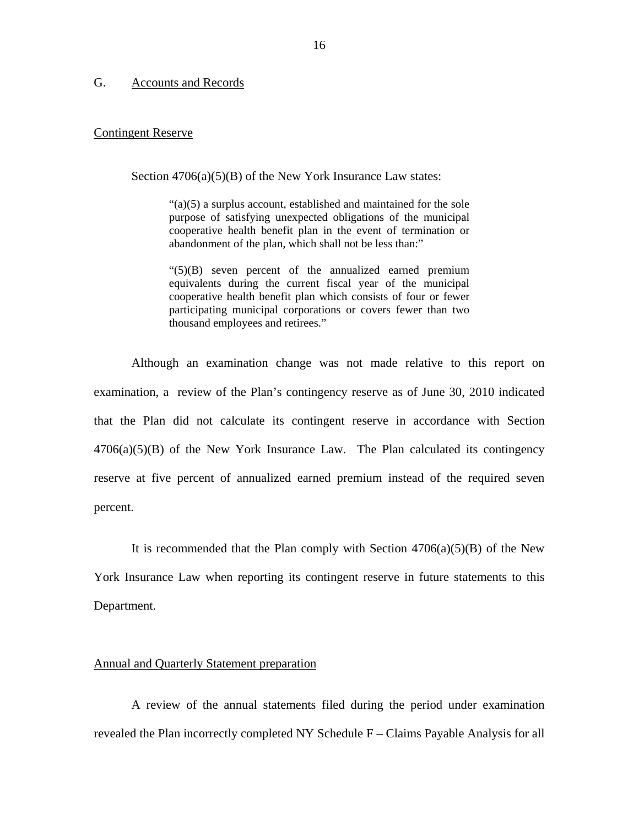#### <span id="page-17-0"></span>G. Accounts and Records

#### Contingent Reserve

Section 4706(a)(5)(B) of the New York Insurance Law states:

"(a)(5) a surplus account, established and maintained for the sole purpose of satisfying unexpected obligations of the municipal cooperative health benefit plan in the event of termination or abandonment of the plan, which shall not be less than:"

"(5)(B) seven percent of the annualized earned premium equivalents during the current fiscal year of the municipal cooperative health benefit plan which consists of four or fewer participating municipal corporations or covers fewer than two thousand employees and retirees."

Although an examination change was not made relative to this report on examination, a review of the Plan's contingency reserve as of June 30, 2010 indicated that the Plan did not calculate its contingent reserve in accordance with Section  $4706(a)(5)(B)$  of the New York Insurance Law. The Plan calculated its contingency reserve at five percent of annualized earned premium instead of the required seven percent.

It is recommended that the Plan comply with Section  $4706(a)(5)(B)$  of the New York Insurance Law when reporting its contingent reserve in future statements to this Department.

#### Annual and Quarterly Statement preparation

A review of the annual statements filed during the period under examination revealed the Plan incorrectly completed NY Schedule F – Claims Payable Analysis for all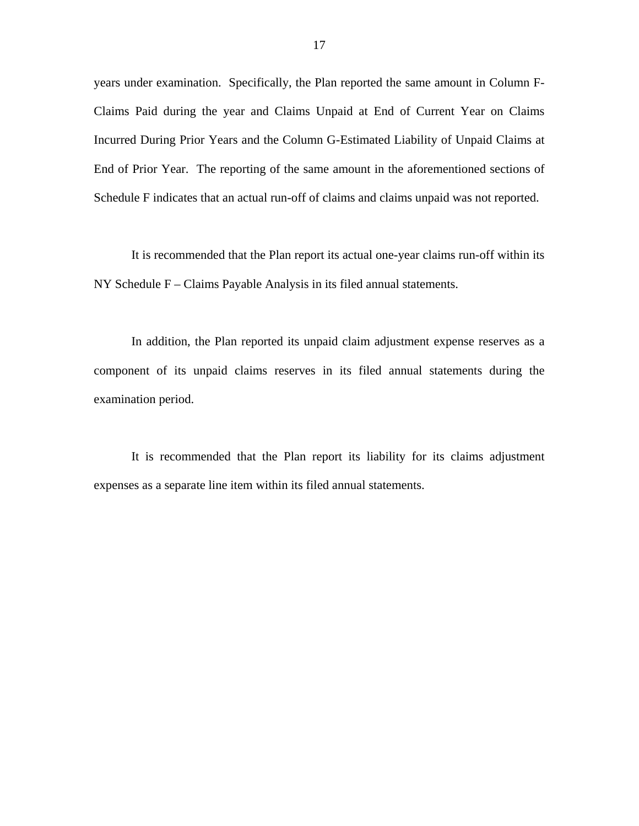years under examination. Specifically, the Plan reported the same amount in Column F-Claims Paid during the year and Claims Unpaid at End of Current Year on Claims Incurred During Prior Years and the Column G-Estimated Liability of Unpaid Claims at End of Prior Year. The reporting of the same amount in the aforementioned sections of Schedule F indicates that an actual run-off of claims and claims unpaid was not reported.

It is recommended that the Plan report its actual one-year claims run-off within its NY Schedule F – Claims Payable Analysis in its filed annual statements.

In addition, the Plan reported its unpaid claim adjustment expense reserves as a component of its unpaid claims reserves in its filed annual statements during the examination period.

It is recommended that the Plan report its liability for its claims adjustment expenses as a separate line item within its filed annual statements.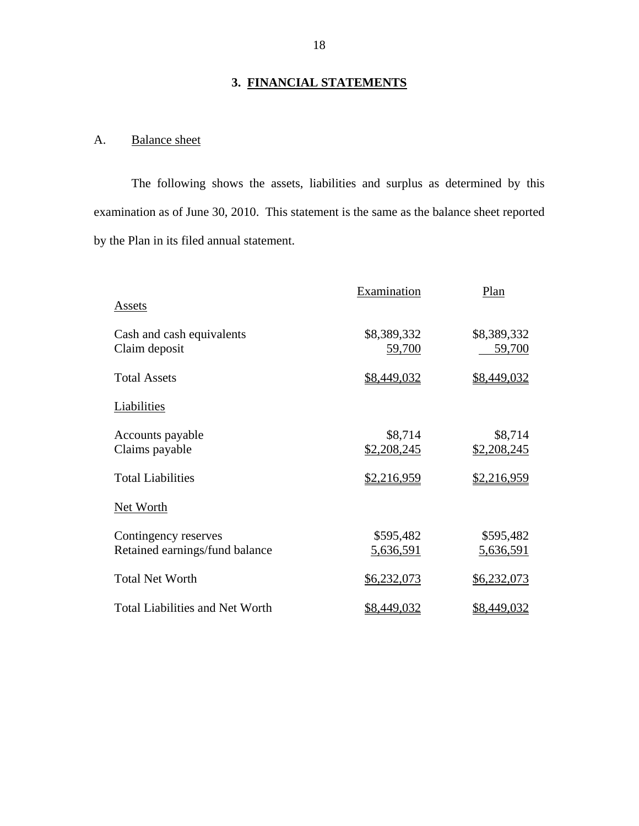### **3. FINANCIAL STATEMENTS**

## A. Balance sheet

The following shows the assets, liabilities and surplus as determined by this examination as of June 30, 2010. This statement is the same as the balance sheet reported by the Plan in its filed annual statement.

|                                        | Examination | Plan        |
|----------------------------------------|-------------|-------------|
| <b>Assets</b>                          |             |             |
| Cash and cash equivalents              | \$8,389,332 | \$8,389,332 |
| Claim deposit                          | 59,700      | 59,700      |
| <b>Total Assets</b>                    | \$8,449,032 | \$8,449,032 |
| Liabilities                            |             |             |
| Accounts payable                       | \$8,714     | \$8,714     |
| Claims payable                         | \$2,208,245 | \$2,208,245 |
| <b>Total Liabilities</b>               | \$2,216,959 | \$2,216,959 |
| Net Worth                              |             |             |
| Contingency reserves                   | \$595,482   | \$595,482   |
| Retained earnings/fund balance         | 5,636,591   | 5,636,591   |
| <b>Total Net Worth</b>                 | \$6,232,073 | \$6,232,073 |
| <b>Total Liabilities and Net Worth</b> | \$8,449,032 | \$8,449,032 |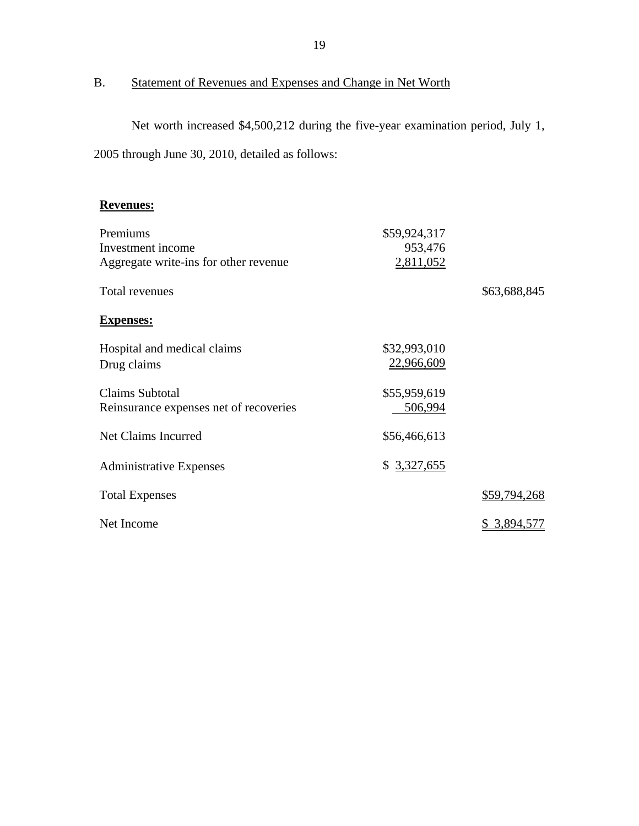## B. Statement of Revenues and Expenses and Change in Net Worth

Net worth increased \$4,500,212 during the five-year examination period, July 1, 2005 through June 30, 2010, detailed as follows:

#### **Revenues:**

| Premiums                               | \$59,924,317 |              |
|----------------------------------------|--------------|--------------|
| Investment income                      | 953,476      |              |
| Aggregate write-ins for other revenue  | 2,811,052    |              |
| Total revenues                         |              | \$63,688,845 |
| <b>Expenses:</b>                       |              |              |
| Hospital and medical claims            | \$32,993,010 |              |
| Drug claims                            | 22,966,609   |              |
|                                        |              |              |
| <b>Claims Subtotal</b>                 | \$55,959,619 |              |
| Reinsurance expenses net of recoveries | 506,994      |              |
| Net Claims Incurred                    | \$56,466,613 |              |
| <b>Administrative Expenses</b>         | \$3,327,655  |              |
|                                        |              |              |
| <b>Total Expenses</b>                  |              | \$59,794,268 |
| Net Income                             |              | \$ 3,894,577 |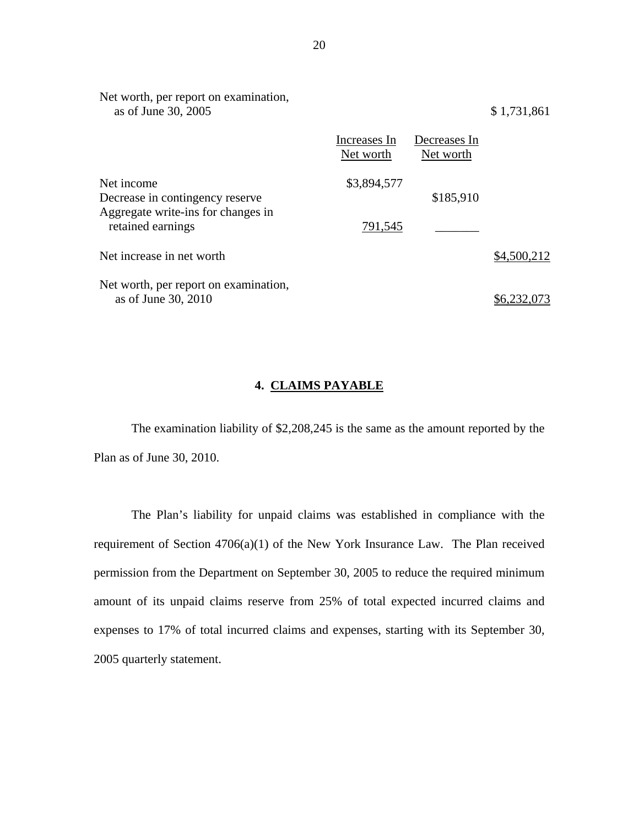| Net worth, per report on examination,<br>as of June 30, 2005                        |                           |                           | \$1,731,861 |
|-------------------------------------------------------------------------------------|---------------------------|---------------------------|-------------|
|                                                                                     | Increases In<br>Net worth | Decreases In<br>Net worth |             |
| Net income<br>Decrease in contingency reserve<br>Aggregate write-ins for changes in | \$3,894,577               | \$185,910                 |             |
| retained earnings                                                                   | 791,545                   |                           |             |
| Net increase in net worth                                                           |                           |                           | \$4,500,212 |
| Net worth, per report on examination,<br>as of June 30, 2010                        |                           |                           |             |

#### **4. CLAIMS PAYABLE**

The examination liability of \$2,208,245 is the same as the amount reported by the Plan as of June 30, 2010.

The Plan's liability for unpaid claims was established in compliance with the requirement of Section 4706(a)(1) of the New York Insurance Law. The Plan received permission from the Department on September 30, 2005 to reduce the required minimum amount of its unpaid claims reserve from 25% of total expected incurred claims and expenses to 17% of total incurred claims and expenses, starting with its September 30, 2005 quarterly statement.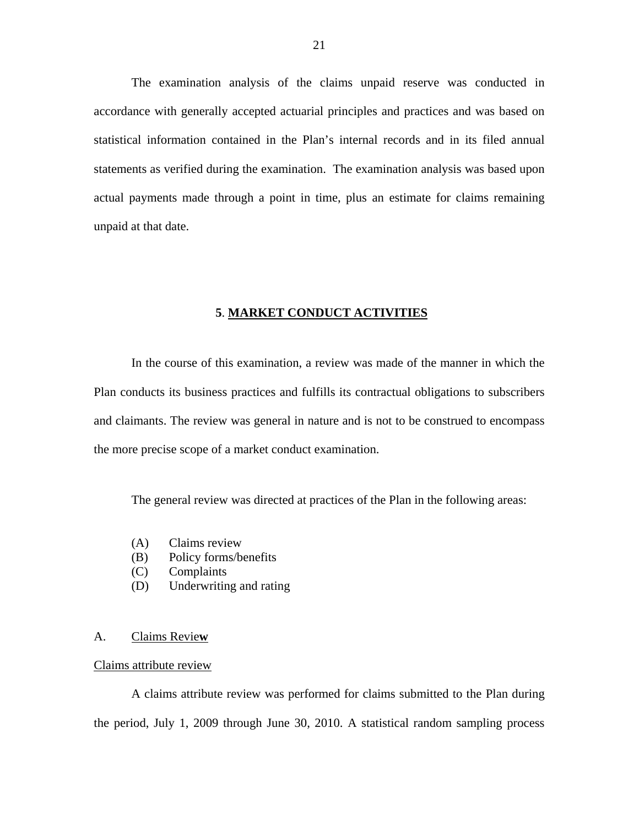<span id="page-22-0"></span>The examination analysis of the claims unpaid reserve was conducted in accordance with generally accepted actuarial principles and practices and was based on statistical information contained in the Plan's internal records and in its filed annual statements as verified during the examination. The examination analysis was based upon actual payments made through a point in time, plus an estimate for claims remaining unpaid at that date.

#### **5**. **MARKET CONDUCT ACTIVITIES**

In the course of this examination, a review was made of the manner in which the Plan conducts its business practices and fulfills its contractual obligations to subscribers and claimants. The review was general in nature and is not to be construed to encompass the more precise scope of a market conduct examination.

The general review was directed at practices of the Plan in the following areas:

- (A) Claims review
- (B) Policy forms/benefits
- (C) Complaints
- (D) Underwriting and rating

#### A. Claims Revie**w**

#### Claims attribute review

A claims attribute review was performed for claims submitted to the Plan during the period, July 1, 2009 through June 30, 2010. A statistical random sampling process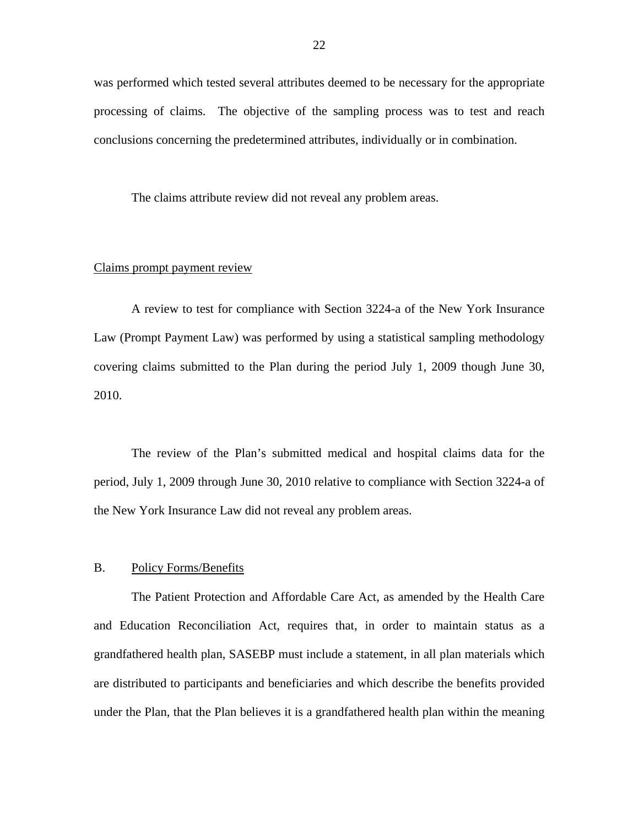was performed which tested several attributes deemed to be necessary for the appropriate processing of claims. The objective of the sampling process was to test and reach conclusions concerning the predetermined attributes, individually or in combination.

The claims attribute review did not reveal any problem areas.

#### Claims prompt payment review

A review to test for compliance with Section 3224-a of the New York Insurance Law (Prompt Payment Law) was performed by using a statistical sampling methodology covering claims submitted to the Plan during the period July 1, 2009 though June 30, 2010.

The review of the Plan's submitted medical and hospital claims data for the period, July 1, 2009 through June 30, 2010 relative to compliance with Section 3224-a of the New York Insurance Law did not reveal any problem areas.

#### B. Policy Forms/Benefits

The Patient Protection and Affordable Care Act, as amended by the Health Care and Education Reconciliation Act, requires that, in order to maintain status as a grandfathered health plan, SASEBP must include a statement, in all plan materials which are distributed to participants and beneficiaries and which describe the benefits provided under the Plan, that the Plan believes it is a grandfathered health plan within the meaning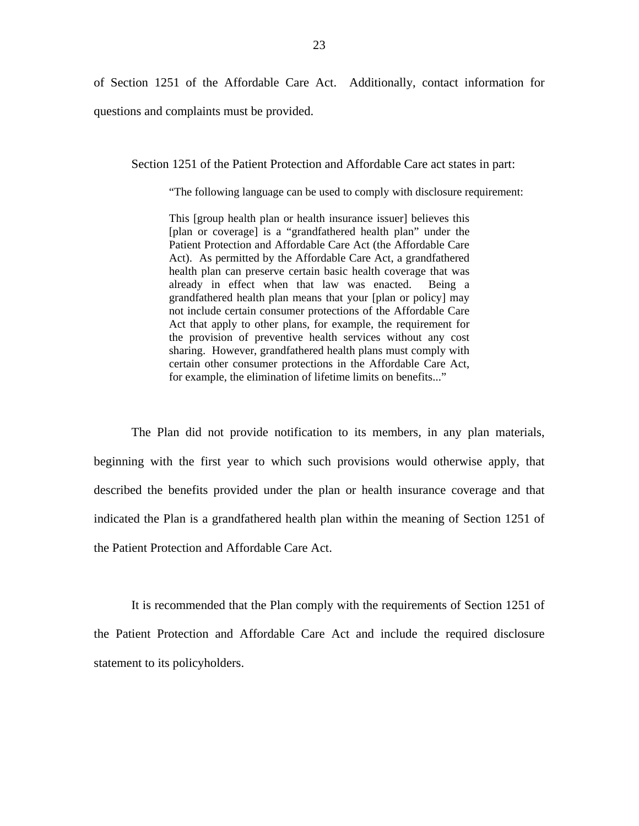of Section 1251 of the Affordable Care Act. Additionally, contact information for

questions and complaints must be provided.

Section 1251 of the Patient Protection and Affordable Care act states in part:

"The following language can be used to comply with disclosure requirement:

 grandfathered health plan means that your [plan or policy] may This [group health plan or health insurance issuer] believes this [plan or coverage] is a "grandfathered health plan" under the Patient Protection and Affordable Care Act (the Affordable Care Act). As permitted by the Affordable Care Act, a grandfathered health plan can preserve certain basic health coverage that was already in effect when that law was enacted. Being a not include certain consumer protections of the Affordable Care Act that apply to other plans, for example, the requirement for the provision of preventive health services without any cost sharing. However, grandfathered health plans must comply with certain other consumer protections in the Affordable Care Act, for example, the elimination of lifetime limits on benefits..."

The Plan did not provide notification to its members, in any plan materials, beginning with the first year to which such provisions would otherwise apply, that described the benefits provided under the plan or health insurance coverage and that indicated the Plan is a grandfathered health plan within the meaning of Section 1251 of the Patient Protection and Affordable Care Act.

It is recommended that the Plan comply with the requirements of Section 1251 of the Patient Protection and Affordable Care Act and include the required disclosure statement to its policyholders.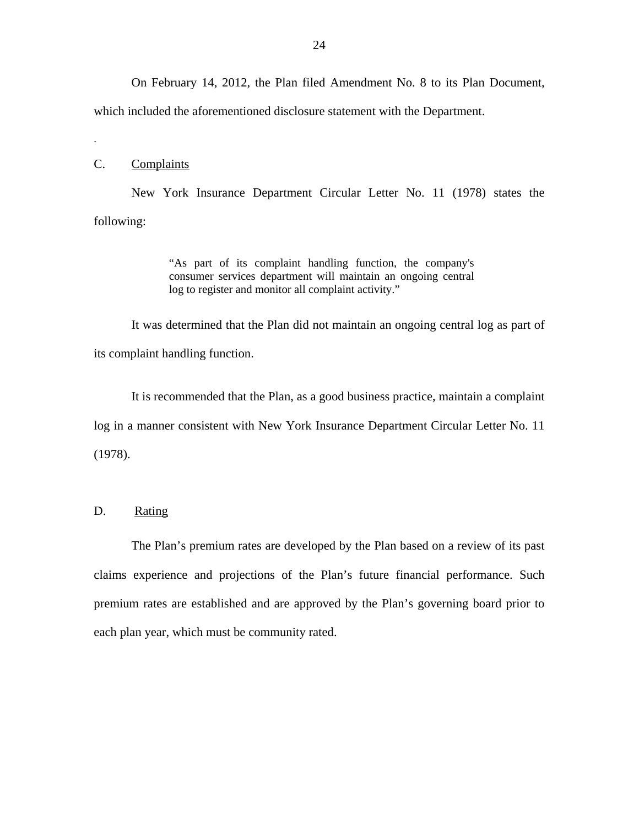On February 14, 2012, the Plan filed Amendment No. 8 to its Plan Document,

which included the aforementioned disclosure statement with the Department.

#### C. Complaints

.

New York Insurance Department Circular Letter No. 11 (1978) states the following:

> "As part of its complaint handling function, the company's consumer services department will maintain an ongoing central log to register and monitor all complaint activity."

It was determined that the Plan did not maintain an ongoing central log as part of its complaint handling function.

It is recommended that the Plan, as a good business practice, maintain a complaint log in a manner consistent with New York Insurance Department Circular Letter No. 11 (1978).

### D. Rating

The Plan's premium rates are developed by the Plan based on a review of its past claims experience and projections of the Plan's future financial performance. Such premium rates are established and are approved by the Plan's governing board prior to each plan year, which must be community rated.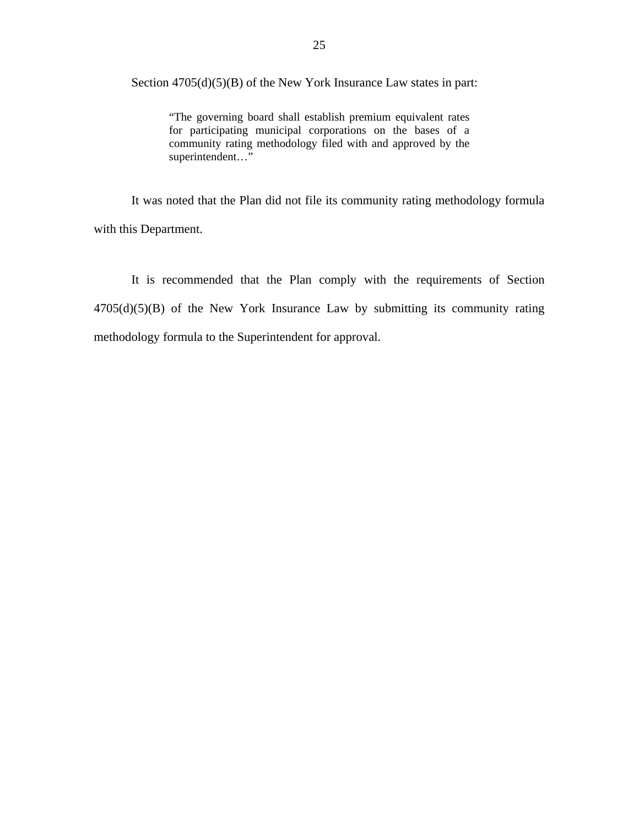Section 4705(d)(5)(B) of the New York Insurance Law states in part:

"The governing board shall establish premium equivalent rates for participating municipal corporations on the bases of a community rating methodology filed with and approved by the superintendent…"

It was noted that the Plan did not file its community rating methodology formula with this Department.

It is recommended that the Plan comply with the requirements of Section 4705(d)(5)(B) of the New York Insurance Law by submitting its community rating methodology formula to the Superintendent for approval.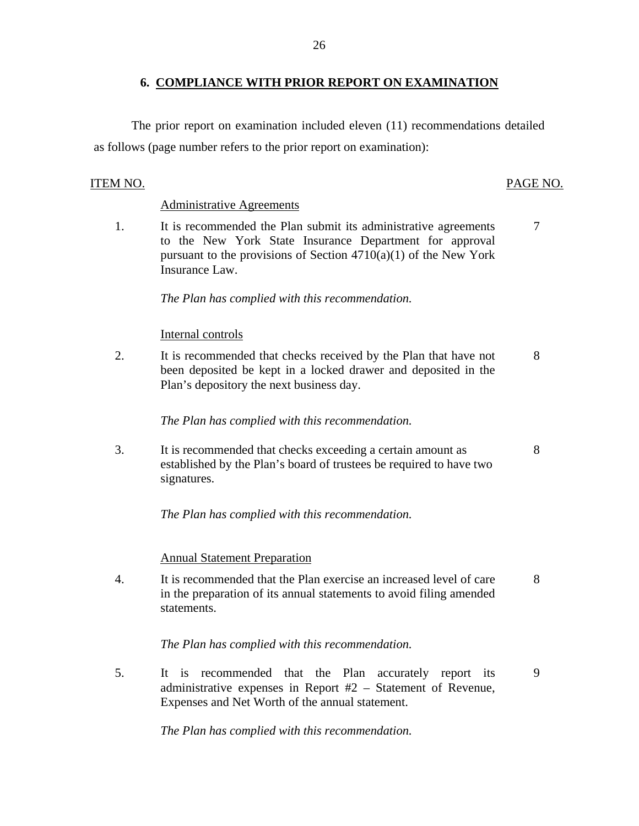### **6. COMPLIANCE WITH PRIOR REPORT ON EXAMINATION**

<span id="page-27-0"></span>The prior report on examination included eleven (11) recommendations detailed as follows (page number refers to the prior report on examination):

#### ITEM NO. PAGE NO.

#### **Administrative Agreements**

1. It is recommended the Plan submit its administrative agreements 7 to the New York State Insurance Department for approval pursuant to the provisions of Section  $4710(a)(1)$  of the New York Insurance Law.

*The Plan has complied with this recommendation.* 

#### Internal controls

2. It is recommended that checks received by the Plan that have not 8 been deposited be kept in a locked drawer and deposited in the Plan's depository the next business day.

*The Plan has complied with this recommendation.* 

3. It is recommended that checks exceeding a certain amount as 8 established by the Plan's board of trustees be required to have two signatures.

*The Plan has complied with this recommendation.* 

#### **Annual Statement Preparation**

4. It is recommended that the Plan exercise an increased level of care 8 in the preparation of its annual statements to avoid filing amended statements.

*The Plan has complied with this recommendation.* 

5. It is recommended that the Plan accurately report its 9 administrative expenses in Report #2 – Statement of Revenue, Expenses and Net Worth of the annual statement.

*The Plan has complied with this recommendation.*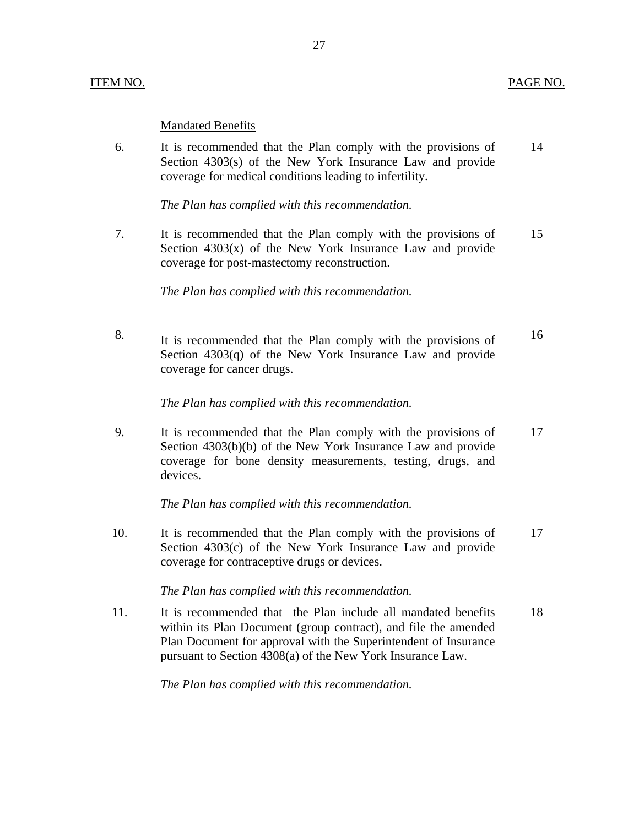#### **Mandated Benefits**

6. It is recommended that the Plan comply with the provisions of 14 Section 4303(s) of the New York Insurance Law and provide coverage for medical conditions leading to infertility.

*The Plan has complied with this recommendation.* 

7. It is recommended that the Plan comply with the provisions of 15 Section  $4303(x)$  of the New York Insurance Law and provide coverage for post-mastectomy reconstruction.

*The Plan has complied with this recommendation.* 

8. It is recommended that the Plan comply with the provisions of  $16$ Section 4303(q) of the New York Insurance Law and provide coverage for cancer drugs.

*The Plan has complied with this recommendation.* 

9. It is recommended that the Plan comply with the provisions of 17 Section 4303(b)(b) of the New York Insurance Law and provide coverage for bone density measurements, testing, drugs, and devices.

*The Plan has complied with this recommendation.* 

10. It is recommended that the Plan comply with the provisions of 17 Section 4303(c) of the New York Insurance Law and provide coverage for contraceptive drugs or devices.

*The Plan has complied with this recommendation.* 

11. It is recommended that the Plan include all mandated benefits 18 within its Plan Document (group contract), and file the amended Plan Document for approval with the Superintendent of Insurance pursuant to Section 4308(a) of the New York Insurance Law.

*The Plan has complied with this recommendation.*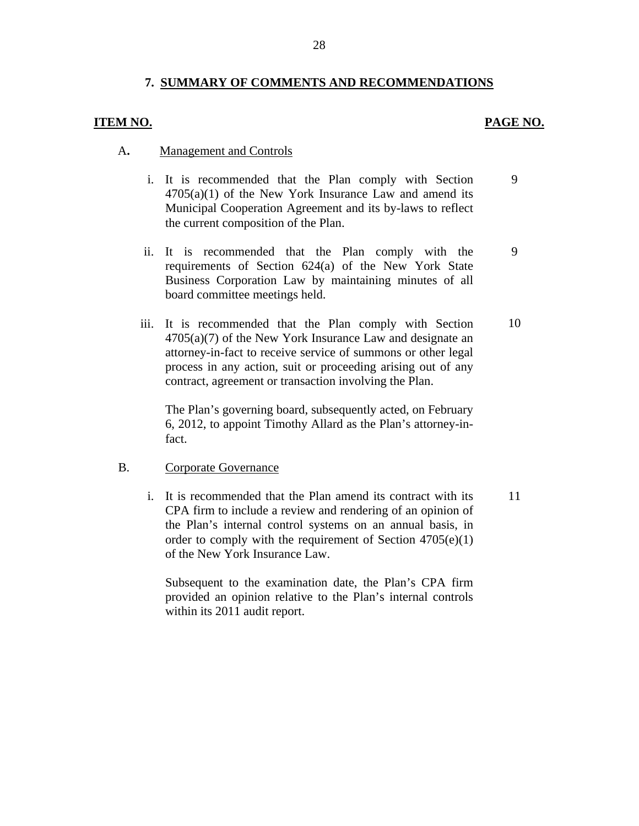#### **7. SUMMARY OF COMMENTS AND RECOMMENDATIONS**

#### **ITEM NO. PAGE NO.**

#### A**.** Management and Controls

- i. It is recommended that the Plan comply with Section  $4705(a)(1)$  of the New York Insurance Law and amend its Municipal Cooperation Agreement and its by-laws to reflect the current composition of the Plan. 9
- ii. It is recommended that the Plan comply with the requirements of Section 624(a) of the New York State Business Corporation Law by maintaining minutes of all board committee meetings held.
- iii. It is recommended that the Plan comply with Section  $4705(a)(7)$  of the New York Insurance Law and designate an attorney-in-fact to receive service of summons or other legal process in any action, suit or proceeding arising out of any contract, agreement or transaction involving the Plan.

The Plan's governing board, subsequently acted, on February 6, 2012, to appoint Timothy Allard as the Plan's attorney-infact.

#### B. Corporate Governance

i. It is recommended that the Plan amend its contract with its CPA firm to include a review and rendering of an opinion of the Plan's internal control systems on an annual basis, in order to comply with the requirement of Section 4705(e)(1) of the New York Insurance Law.

Subsequent to the examination date, the Plan's CPA firm provided an opinion relative to the Plan's internal controls within its 2011 audit report.

10

9

11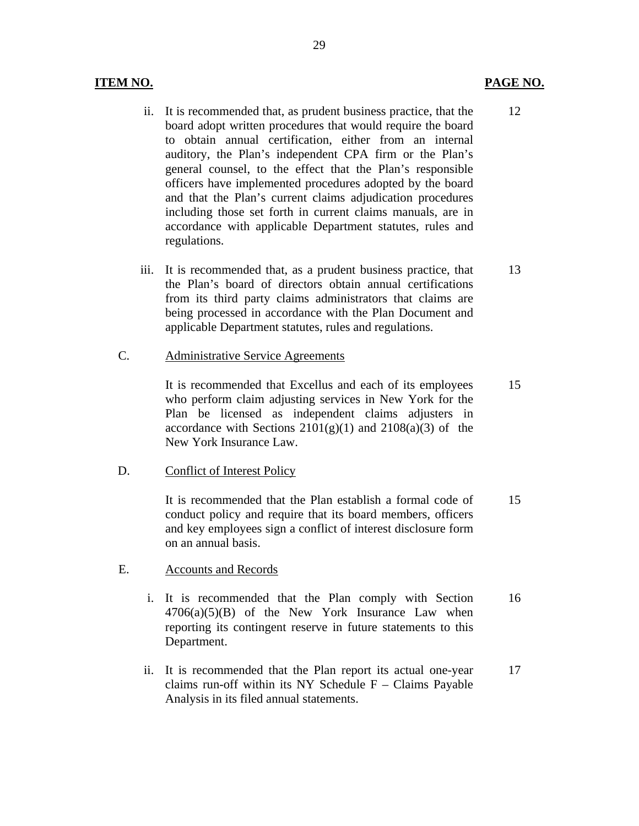#### **ITEM NO. PAGE NO. PAGE NO.**

12

- ii. It is recommended that, as prudent business practice, that the board adopt written procedures that would require the board to obtain annual certification, either from an internal auditory, the Plan's independent CPA firm or the Plan's general counsel, to the effect that the Plan's responsible officers have implemented procedures adopted by the board and that the Plan's current claims adjudication procedures including those set forth in current claims manuals, are in accordance with applicable Department statutes, rules and regulations.
- iii. It is recommended that, as a prudent business practice, that the Plan's board of directors obtain annual certifications from its third party claims administrators that claims are being processed in accordance with the Plan Document and applicable Department statutes, rules and regulations. 13
- C. Administrative Service Agreements

It is recommended that Excellus and each of its employees who perform claim adjusting services in New York for the Plan be licensed as independent claims adjusters in accordance with Sections  $2101(g)(1)$  and  $2108(a)(3)$  of the New York Insurance Law. 15

D. Conflict of Interest Policy

It is recommended that the Plan establish a formal code of conduct policy and require that its board members, officers and key employees sign a conflict of interest disclosure form on an annual basis. 15

#### E. Accounts and Records

- Department. i. It is recommended that the Plan comply with Section  $4706(a)(5)(B)$  of the New York Insurance Law when reporting its contingent reserve in future statements to this It is recommended that the Plan comply with Section  $16\overline{4706(a)(5)(B)}$  of the New York Insurance Law when reporting its contingent reserve in future statements to this Department.
- ii. It is recommended that the Plan report its actual one-year claims run-off within its NY Schedule  $F -$ Claims Payable Analysis in its filed annual statements. 17

29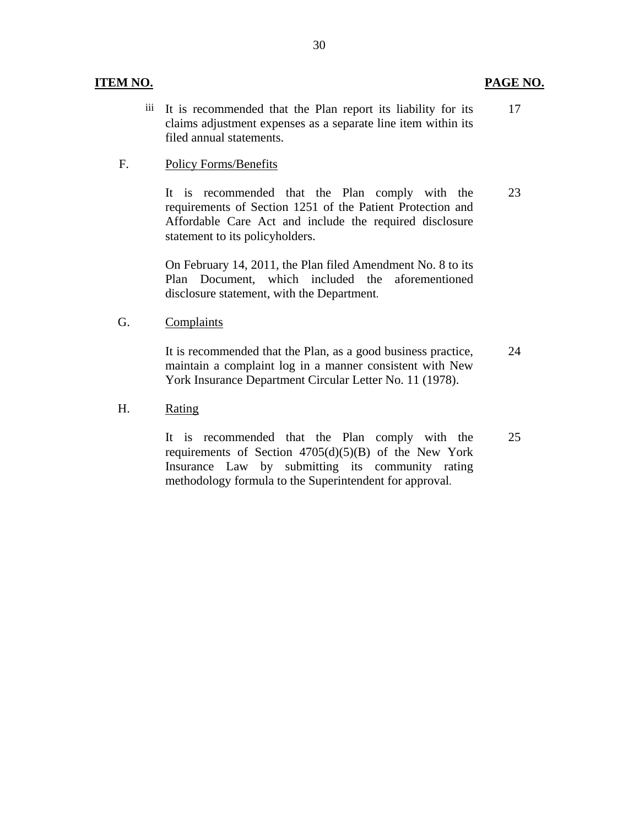iii It is recommended that the Plan report its liability for its claims adjustment expenses as a separate line item within its filed annual statements. 17

#### **Policy Forms/Benefits**

F. Policy Forms/Benefits<br>It is recommended that the Plan comply with the requirements of Section 1251 of the Patient Protection and Affordable Care Act and include the required disclosure statement to its policyholders. 23

> On February 14, 2011, the Plan filed Amendment No. 8 to its Plan Document, which included the aforementioned disclosure statement, with the Department.

Complaints

York Insurance Department Circular Letter No. 11 (1978). G. Complaints<br>It is recommended that the Plan, as a good business practice, maintain a complaint log in a manner consistent with New It is recommended that the Plan, as a good business practice, 24<br>maintain a complaint log in a manner consistent with New<br>York Insurance Department Circular Letter No. 11 (1978).

H. Rating

It is recommended that the Plan comply with the requirements of Section  $4705(d)(5)(B)$  of the New York Insurance Law by submitting its community rating methodology formula to the Superintendent for approval.

25